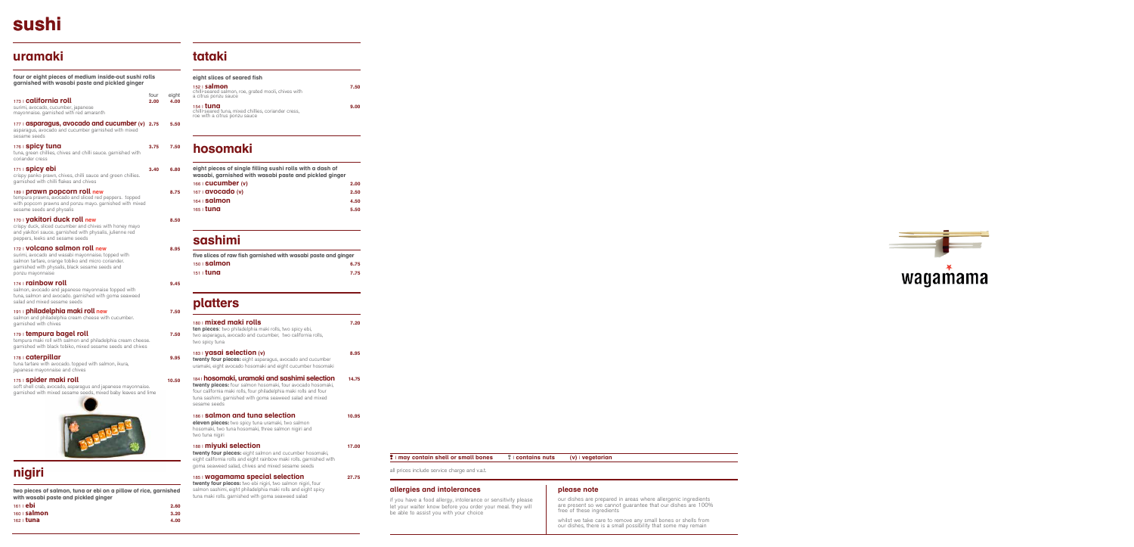### **allergies and intolerances**

if you have a food allergy, intolerance or sensitivity please let your waiter know before you order your meal. they will be able to assist you with your choice

### **please note**

our dishes are prepared in areas where allergenic ingredients free of these ingredients

are present so we cannot guarantee that our dishes are 100%

whilst we take care to remove any small bones or shells from our dishes, there is a small possibility that some may remain



all prices include service charge and v.a.t.

| **may contain shell or small bones** | **contains nuts (v)** | **vegetarian**

# **sushi**

## **sashimi**

| five slices of raw fish garnished with wasabi paste and ginger |      |
|----------------------------------------------------------------|------|
| $150$   <b>Salmon</b>                                          | 6.75 |
| $151 \pm 1$ una                                                | 7.75 |
|                                                                |      |

## **platters**

| 180   mixed maki rolls<br>ten pieces: two philadelphia maki rolls, two spicy ebi,<br>two asparagus, avocado and cucumber, two california rolls,<br>two spicy tuna                                                                                                     | 7.20  |
|-----------------------------------------------------------------------------------------------------------------------------------------------------------------------------------------------------------------------------------------------------------------------|-------|
| 183   <b>yasai selection</b> (v)<br><b>twenty four pieces:</b> eight asparagus, avocado and cucumber<br>uramaki, eight avocado hosomaki and eight cucumber hosomaki                                                                                                   | 8.95  |
| 184 I <b>hosomaki, uramaki and sashimi selection</b><br>twenty pieces: four salmon hosomaki, four avocado hosomaki,<br>four california maki rolls, four philadelphia maki rolls and four<br>tuna sashimi. garnished with goma seaweed salad and mixed<br>sesame seeds | 14.75 |
| 186   <b>Salmon and tuna selection</b><br>eleven pieces: two spicy tuna uramaki, two salmon<br>hosomaki, two tuna hosomaki, three salmon nigiri and<br>two tuna nigiri                                                                                                | 10.95 |
| 188   <b>miyuki selection</b><br><b>twenty four pieces:</b> eight salmon and cucumber hosomaki,<br>eight california rolls and eight rainbow maki rolls, garnished with<br>goma seaweed salad, chives and mixed sesame seeds                                           | 17.00 |
| 185   Wagamama special selection<br>twenty four pieces: two ebi nigiri, two salmon nigiri, four<br>salmon sashimi, eight philadelphia maki rolls and eight spicy                                                                                                      | 27.75 |

tuna maki rolls. garnished with goma seaweed salad

## **hosomaki**

| eight pieces of single filling sushi rolls with a dash of<br>wasabi, garnished with wasabi paste and pickled ginger |      |
|---------------------------------------------------------------------------------------------------------------------|------|
| 166   <b>CUCUMber</b> (v)                                                                                           | 2.00 |
| 167   <b>avocado</b> (v)                                                                                            | 2.50 |
| 164   <b>Salmon</b>                                                                                                 | 4.50 |
| $165 \pm 1$ una                                                                                                     | 5.50 |
|                                                                                                                     |      |

## **uramaki**

# **nigiri**

**two pieces of salmon, tuna or ebi on a pillow of rice, garnished with wasabi paste and pickled ginger**

| 161 L <b>ebi</b> |  | 2.60 |
|------------------|--|------|
| $160$   salmon   |  | 3,20 |
| $162 \mid$ tuna  |  | 4.00 |

**four or eight pieces of medium inside-out sushi rolls garnished with wasabi paste and pickled ginger**

| 173   california roll                                                                                                                                                                                                   | four<br>2.00 | eight<br>4.00 |
|-------------------------------------------------------------------------------------------------------------------------------------------------------------------------------------------------------------------------|--------------|---------------|
| surimi, avocado, cucumber, japanese<br>mayonnaise. garnished with red amaranth                                                                                                                                          |              |               |
| 177   asparagus, avocado and cucumber (v)<br>asparagus, avocado and cucumber garnished with mixed<br>sesame seeds                                                                                                       | 2.75         | 5.50          |
| 176   <b>Spicy tung</b><br>tuna, green chillies, chives and chilli sauce. garnished with<br>coriander cress                                                                                                             | 3.75         | 7.50          |
| 171 <b>Spicy ebi</b><br>crispy panko prawn, chives, chilli sauce and green chillies.<br>garnished with chilli flakes and chives                                                                                         | 3.40         | 6.80          |
| 189   <b>prawn popcorn roll new</b><br>tempura prawns, avocado and sliced red peppers. topped<br>with popcorn prawns and ponzu mayo. garnished with mixed<br>sesame seeds and physalis                                  |              | 8.75          |
| 170   <b>Vakitori duck roll new</b><br>crispy duck, sliced cucumber and chives with honey mayo<br>and yakitori sauce. garnished with physalis, julienne red<br>peppers, leeks and sesame seeds                          |              | 8.50          |
| 172   <b>VOlcano salmon roll new</b><br>surimi, avocado and wasabi mayonnaise. topped with<br>salmon tartare, orange tobiko and micro coriander.<br>garnished with physalis, black sesame seeds and<br>ponzu mayonnaise |              | 8.95          |
| 174   rainbow roll<br>salmon, avocado and japanese mayonnaise topped with<br>tuna, salmon and avocado. garnished with goma seaweed<br>salad and mixed sesame seeds                                                      |              | 9.45          |
| 191   philadelphia maki roll new<br>salmon and philadelphia cream cheese with cucumber.<br>garnished with chives                                                                                                        |              | 7.50          |
| 179 L <b>tempura bagel roll</b><br>tempura maki roll with salmon and philadelphia cream cheese.<br>garnished with black tobiko, mixed sesame seeds and chives                                                           |              | 7.50          |
| 178 <b>Caterpillar</b><br>tuna tartare with avocado. topped with salmon, ikura,<br>japanese mayonnaise and chives                                                                                                       |              | 9.95          |
| 175   spider maki roll<br>soft shell crab, avocado, asparagus and japanese mayonnaise.<br>garnished with mixed sesame seeds, mixed baby leaves and lime                                                                 |              | 10.50         |
|                                                                                                                                                                                                                         |              |               |



## **tataki**

| eight slices of seared fish                                                                              |      |
|----------------------------------------------------------------------------------------------------------|------|
| $152$ salmon<br>chilli-seared salmon, roe, grated mooli, chives with<br>a citrus ponzu sauce             | 7.50 |
| 154 <b>tuna</b><br>chilli-seared tuna, mixed chillies, coriander cress,<br>roe with a citrus ponzu sauce | 9.00 |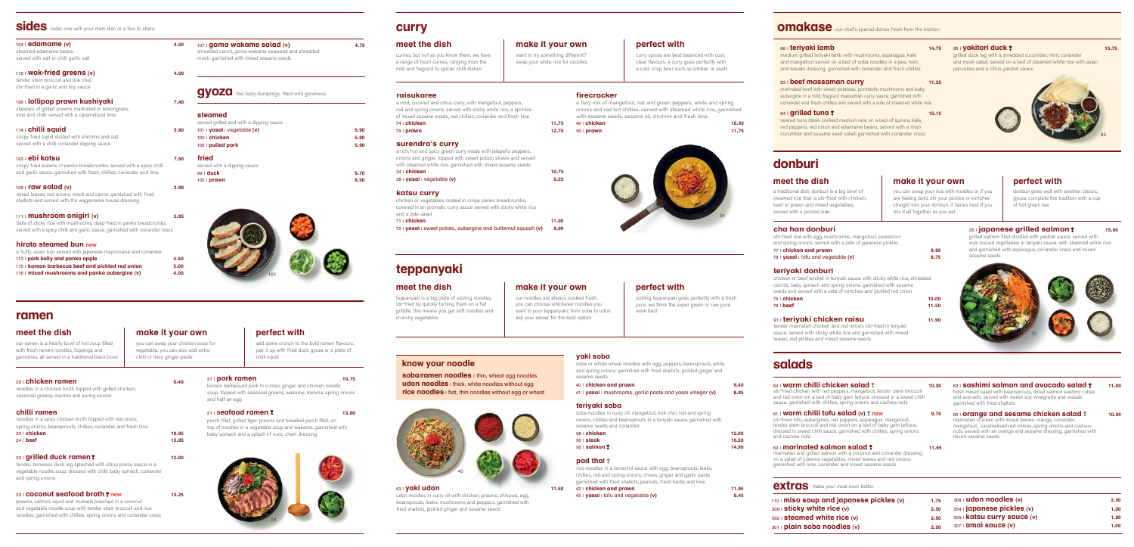



20 | **chicken ramen 9.40** noodles in a chicken broth topped with grilled chicken, seasonal greens, menma and spring onions

### **chilli ramen**

| noodles in a spicy chicken broth topped with red onion.        |       |
|----------------------------------------------------------------|-------|
| spring onions, beansprouts, chillies, coriander and fresh lime |       |
| $25$ $\mid$ chicken                                            | 10.95 |
| $24  $ beef                                                    | 13.95 |

### 22 | **grilled duck ramen 12.00**

tender, boneless duck leg splashed with citrus ponzu sauce in a vegetable noodle soup. dressed with chilli, baby spinach, coriander and spring onions

### 23 | **coconut seafood broth new 13.25**

prawns, salmon, squid and mussels poached in a coconut and vegetable noodle soup with tender stem broccoli and rice noodles. garnished with chillies, spring onions and coriander cress

| Sides order one with your main dish or a few to share                                                                                                                                     |      |
|-------------------------------------------------------------------------------------------------------------------------------------------------------------------------------------------|------|
| $104$ i edamame (v)<br>steamed edamame beans.<br>served with salt or chilli garlic salt                                                                                                   | 4.50 |
| $112$ Wok-fried greens (v)<br>tender stem broccoli and bok choi.<br>stir-fried in a garlic and soy sauce                                                                                  | 4.00 |
| 106+ <b>lollipop prawn kushiyaki</b><br>skewers of grilled prawns marinated in lemongrass,<br>lime and chilli, served with a caramelised lime                                             | 7.40 |
| 114   <b>chilli squid</b><br>crispy fried squid dusted with shichimi and salt.<br>served with a chilli coriander dipping sauce                                                            | 5.90 |
| 103   <b>ebi katsu</b><br>crispy fried prawns in panko breadcrumbs, served with a spicy chilli<br>and garlic sauce, garnished with fresh chillies, coriander and lime                     | 7.50 |
| $109$ <b>raw salad (v)</b><br>mixed leaves, red onions, mooli and carrot, garnished with fried<br>shallots and served with the wagamama house dressing                                    | 3.90 |
| 111   <b>mushroom onigiri</b> (v)<br>balls of sticky rice with mushrooms, deep-fried in panko breadcrumbs.<br>served with a spicy chilli and garlic sauce, garnished with coriander cress | 5.95 |
| hirata steamed bun new                                                                                                                                                                    |      |

| a fluffy, asian bun served with japanese mayonnaise and coriander |      |
|-------------------------------------------------------------------|------|
| 113   pork belly and panko apple                                  | 4.50 |
| 115   korean barbecue beef and pickled red onion                  | 5.00 |
| 116   mixed mushrooms and panko aubergine $(v)$                   | 4.00 |

### **steamed**

| 5.90 |
|------|
| 5.90 |
| 5.90 |
|      |
|      |
| 6.70 |
| 6.50 |
|      |



**gyoza** five tasty dumplings, filled with goodness

## **curry**

### **raisukaree**

soba noodles in curry oil, ma sesame seeds and coriander

#### a mild, coconut and citrus curry, with mangetout, peppers, red and spring onions. served with sticky white rice, a sprinkle of mixed sesame seeds, red chillies, coriander and fresh lime 74 | **chicken 11.75** 79 | **prawn 12.75**

#### **surendra's curry**

a rich, hot and spicy green curry made with jalapeño peppers, onions and ginger. topped with sweet potato straws and served with steamed white rice. garnished with mixed sesame seeds

34 | **chicken 10.75** 39 | **yasai** | vegetable **(v) 9.25**

#### **katsu curry**

chicken or vegetables coated in crispy panko breadcrumbs, covered in an aromatic curry sauce served with sticky white rice and a side salad

| $71$ $\pm$ chicken                                                    | 11.00 |
|-----------------------------------------------------------------------|-------|
| 72   $\gamma$ asai   sweet potato, aubergine and butternut squash (v) | 9.90  |

### **meet the dish**  make it your own perfect with

| 71   chicken                                                       | 11.00 |
|--------------------------------------------------------------------|-------|
| 72   $y$ asai   sweet potato, aubergine and butternut squash $(v)$ | 9.90  |

**firecracker** 

a fiery mix of mangetout, red and green peppers, white and spring onions and red hot chillies. served with steamed white rice, garnished with sesame seeds, sesame oil, shichimi and fresh lime

49 | **chicken 10.50** 50 | **prawn 11.75**

want to try something different? swap your white rice for noodles

curry spices are best balanced with cool, clear flavours. a curry goes perfectly with a cold, crisp beer such as ichiban or asahi

curries, but not as you know them. we have a range of fresh curries, ranging from the mild and fragrant to spicier chilli dishes

## **teppanyaki**

our noodles are always cooked fresh. you can choose whichever noodles you want in your teppanyaki; from soba to udon. ask your server for the best option

sizzling teppanyaki goes perfectly with a fresh juice. we think the super green or raw juice work best

### **meet the dish make it your own perfect with**

teppanyaki is a big plate of sizzling noodles, stir-fried by quickly turning them on a flat griddle. this means you get soft noodles and crunchy vegetables

### 43 | **yaki udon 11.50**

stir-fried chicken with red peppers, mangetout, tender stem broccoli and red onion on a bed of baby gem lettuce. dressed in a sweet chilli sauce. garnished with chillies, spring onions and cashew nuts

udon noodles in curry oil with chicken, prawns, chikuwa, egg, beansprouts, leeks, mushrooms and peppers. garnished with fried shallots, pickled ginger and sesame seeds

### **yaki soba**

soba or whole wheat noodles with egg, peppers, beansprouts, white and spring onions. garnished with fried shallots, pickled ginger and sesame seeds

| 40   chicken and prawn                                      | 9.40 |
|-------------------------------------------------------------|------|
| 41   vasai   mushrooms, garlic paste and yasai vinegar (v)  | 8.85 |
| teriyaki soba                                               |      |
| sobe poodles in curry oil mengetout bok choi red and spring |      |

### **teriyaki soba**

onions, chillies and beansprouts in a teriyaki sauce. garnished with

#### 60 | **orange and sesame chicken salad \*** 10.00 marinated chicken with mixed leaves, orange, coriander, mangetout, caramelised red onions, spring onions and cashew nuts. served with an orange and sesame dressing. garnished with mixed sesame seeds

| 88   chicken            | 12.00 |
|-------------------------|-------|
| $90$   steak            | 16.50 |
| $92 \mid \text{salmon}$ | 14.90 |
|                         |       |

| etable ( <b>v)</b> |  |  |
|--------------------|--|--|

## **omakase** our chef's special dishes fresh from the kitchen

### **pad thai**

rice noodles in a tamarind sauce with egg, beansprouts, leeks, chillies, red and spring onions, chives, ginger and garlic paste. garnished with fried shallots, peanuts, fresh herbs and lime

42 | **chicken and prawn 11.95** 45 | **yasai** | tofu and vegetable **(v) 9.45**



### **know your noodle**

**soba/ramen noodles** I thin, wheat egg noodles **udon noodles** I thick, white noodles without egg **rice noodles** I flat, thin noodles without egg or wheat

## **ramen**

you can swap your chicken soup for vegetable. you can also add extra chilli or miso ginger paste

add some crunch to the bold ramen flavours. pair it up with fried duck gyoza or a plate of chilli squid

### **meet the dish make it your own perfect with**

our ramen is a hearty bowl of hot soup filled with fresh ramen noodles, toppings and garnishes, all served in a traditional black bowl



#### 86 | **teriyaki lamb 14.75**

medium grilled teriyaki lamb with mushrooms, asparagus, kale and mangetout served on a bed of soba noodles in a pea, herb and wasabi dressing. garnished with coriander and fresh chillies

#### **83 | beef massaman curry 11.25**

marinated beef with sweet potatoes, portobello mushrooms and baby aubergine in a mild, fragrant massaman curry sauce. garnished with coriander and fresh chillies and served with a side of steamed white rice

#### **84 | <b>grilled tuna ? 15.15**

seared tuna steak cooked medium rare on a bed of quinoa, kale, red peppers, red onion and edamame beans. served with a miso cucumber and sesame seed salad, garnished with coriander cress

#### 85 | **yakitori duck 13.75**  grilled duck leg with a shredded cucumber, mint, coriander

and mooli salad. served on a bed of steamed white rice with asian

## pancakes and a citrus yakitori sauce



### 27 | **pork ramen 10.75**

korean barbecued pork in a miso, ginger and chicken noodle soup. topped with seasonal greens, wakame, menma, spring onions and half an egg

#### 21 | **Seafood ramen 13.00**

perch fillet, grilled tiger prawns and breaded perch fillet, on top of noodles in a vegetable soup and wakame, garnished with baby spinach and a splash of nuoc cham dressing





**donburi**

you can swap your rice with noodles or if you are feeling bold, stir your pickles or kimchee straight into your donburi. it tastes best if you mix it all together as you eat

donburi goes well with another classic; gyoza. complete the tradition with a cup of hot green tea

### **35 | japanese grilled salmon ?** 15.00

### **meet the dish make it your own perfect with**

a traditional dish, donburi is a big bowl of steamed rice that is stir-fried with chicken, beef or prawn and mixed vegetables. served with a pickled side

**cha han donburi**

stir-fried rice with egg, mushrooms, mangetout, sweetcorn and spring onions. served with a side of japanese pickles

77 | **chicken and prawn 9.95** 78 | **yasai** | tofu and vegetable **(v) 8.75**

**teriyaki donburi**

chicken or beef brisket in teriyaki sauce with sticky white rice, shredded carrots, baby spinach and spring onions. garnished with sesame seeds and served with a side of kimchee and pickled red onion

75 | **chicken 10.00** 76 | **beef 11.50** 91 | **teriyaki chicken raisu 11.90**

tender marinated chicken and red onions stir-fried in teriyaki sauce. served with sticky white rice and garnished with mixed

leaves, red pickles and mixed sesame seeds

grilled salmon fillet drizzled with yakitori sauce. served with wok tossed vegetables in teriyaki sauce, with steamed white rice and garnished with asparagus, coriander cress and mixed sesame seeds

## **salads**

#### 64 | **warm chilli chicken salad 10.30**

#### 61 | **warm chilli tofu salad (v) new 9.70**

stir-fried tofu, aubergines, red peppers, asparagus, mangetout, tender stem broccoli and red onion on a bed of baby gem lettuce. dressed in sweet chilli sauce. garnished with chillies, spring onions and cashew nuts

#### 63 | **marinated salmon salad 11.95**

marinated and grilled salmon with a coconut and coriander dressing on a salad of julienne vegetables, mixed leaves and red onions. garnished with lime, coriander and mixed sesame seeds

#### 62 | **sashimi salmon and avocado salad 11.00** fresh mixed salad with beansprouts, diced salmon sashimi cubes

and avocado. served with sweet soy vinaigrette and wasabi. garnished with fried shallots

### **extras** make your meal even better

| $110$ miso soup and japanese pickles (v) | 1.75 | $308$ i udon noodles (v)          | 2.50 |
|------------------------------------------|------|-----------------------------------|------|
| 300   sticky white rice (v)              | 2.50 | 304   <b>japanese pickles (v)</b> | 1.00 |
| 302   steamed white rice (v)             | 2.50 | 305   katsu curry sauce (v)       | 1.00 |
| 301   plain soba noodles (v)             | 2.50 | 307   <b>amai sauce (v)</b>       | 1.00 |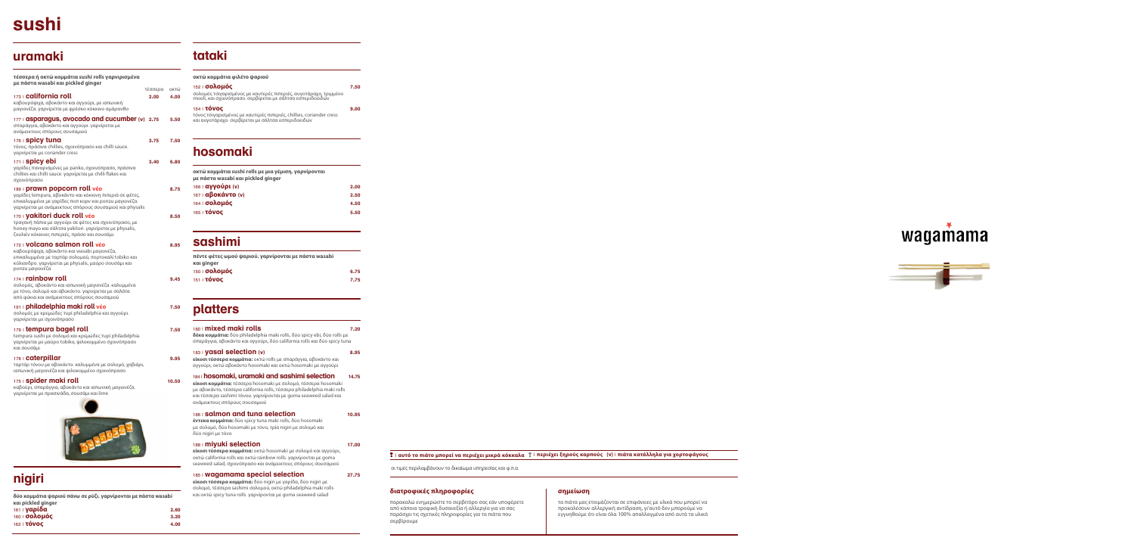#### **διατροφικές πληροφορίες**

#### παρακαλώ ενημερώστε το σερβιτόρο σας εάν υποφέρετε από κάποια τροφική δυσανεξία ή αλλεργία για να σας παράσχει τις σχετικές πληροφορίες για τα πιάτα που σερβίρουμε

### **σημείωση**

τα πιάτα μας ετοιμάζονται σε επιφάνειες με υλικά που μπορεί να προκαλέσουν αλλεργική αντίδραση, γι'αυτό δεν μπορούμε να

wagamama



εγγυηθούμε ότι είναι όλα 100% απαλλαγμένα από αυτά τα υλικά

οι τιμές περιλαμβάνουν το δικαίωμα υπηρεσίας και φ.π.α.

# **sushi**

## **uramaki**

# **nigiri**

**δύο κομμάτια ψαριού πάνω σε ρύζι. γαρνίρονται με πάστα wasabi και pickled ginger**

| 161   <b>γαρίδα</b>  | 2.60 |
|----------------------|------|
| 160   <b>σολομός</b> | 3,20 |
| 162   TÓVOC          | 4.00 |

#### **τέσσερα ή οκτώ κομμάτια sushi rolls γαρνιρισμένα με πάστα wasabi και pickled ginger**

|                                                                                                                                                                                                                         | τέσσερα | οκτώ |
|-------------------------------------------------------------------------------------------------------------------------------------------------------------------------------------------------------------------------|---------|------|
| 173   <b>california roll</b><br>καβουρόψιχα, αβοκάντο και αγγούρι, με ιαπωνική<br>μαγιονέζα. γαρνίρεται με φρέσκο κόκκινο αμάρανθο                                                                                      | 2.00    | 4.00 |
| 177   asparagus, avocado and cucumber (v) 2.75<br>σπαράγγια, αβοκάντο και αγγούρι, γαρνίρεται με<br>ανάμεικτους σπόρους σουσαμιού                                                                                       |         | 5.50 |
| 176 I <b>spicy tuna</b><br>τόνος, πράσινα chillies, σχοινόπρασο και chilli sauce.<br>γαρνίρεται με coriander cress                                                                                                      | 3.75    | 7.50 |
| 171   <b>spicy ebi</b><br>γαρίδες παναρισμένες με panko, σχοινόπρασο, πράσινα<br>chillies και chilli sauce. γαρνίρεται με chilli flakes και<br>σχοινόπρασο                                                              | 3.40    | 6.80 |
| 189   <b>prawn popcorn roll véo</b><br>γαρίδες tempura, αβοκάντο και κόκκινη πιπεριά σε φέτες,<br>επικαλυμμένα με γαρίδες ποπ κορν και ponzu μαγιονέζα.<br>γαρνίρεται με ανάμεικτους σπόρους σουσαμιού και physalis     |         | 8.75 |
| 170   yakitori duck roll véo<br>τραγανή πάπια με αγγούρι σε φέτες και σχοινόπρασο, με<br>honey mayo και σάλτσα yakitori, γαρνίρεται με physalis,<br>ζουλιέν κόκκινες πιπεριές, πράσο και σουσάμι                        |         | 8.50 |
| 172   <b>VOlcano salmon roll v</b> éo<br>καβουρόψιχα, αβοκάντο και wasabi μαγιονέζα,<br>επικαλυμμένα με ταρτάρ σολομού, πορτοκαλί tobiko και<br>κόλιανδρο. γαρνίρεται με physalis, μαύρο σουσάμι και<br>ponzu μαγιονέζα |         | 8.95 |
| $174$ rainbow roll<br>σολομός, αβοκάντο και ιαπωνική μαγιονέζα. καλυμμένα<br>$\mu$                                                                                                                                      |         | 9.45 |

με τόνο, σολομό και αβοκάντο. γαρνίρεται με σαλάτα

από φύκια και ανάμεικτους σπόρους σουσαμιού 191 | **philadelphia maki roll νέο 7.50**

σολομός με κρεμώδες τυρί philadelphia και αγγούρι. γαρνίρεται με σχοινόπρασο

#### 179 | **tempura bagel roll 7.50**

tempura sushi με σολομό και κρεμώδες τυρί philadelphia. γαρνίρεται με μαύρο tobiko, ψιλοκομμένο σχοινόπρασο και σουσάμι

#### 178 | **caterpillar 9.95**

ταρτάρ τόνου με αβοκάντο. καλυμμένα με σολομό, χαβιάρι, ιαπωνική μαγιονέζα και ψιλοκομμένο σχοινόπρασο

#### 175 | **spider maki roll 10.50**

καβούρι, σπαράγγια, αβοκάντο και ιαπωνική μαγιονέζα. γαρνίρεται με πρασινάδα, σουσάμι και lime



## **sashimi**

| πέντε φέτες ωμού ψαριού. γαρνίρονται με πάστα wasabi<br>και ginger |      |
|--------------------------------------------------------------------|------|
| 150 Ι <b>σολομός</b>                                               | 6.75 |
| 151   <b>TÓVOC</b>                                                 | 7.75 |
|                                                                    |      |

## **hosomaki**

## **platters**

| 180   mixed maki rolls<br><b>δέκα κομμάτια:</b> δύο philadelphia maki rolls, δύο spicy ebi, δύο rolls με<br>σπαράγγια, αβοκάντο και αγγούρι, δύο california rolls και δύο spicy tuna                                                                                                          | 7.20  |
|-----------------------------------------------------------------------------------------------------------------------------------------------------------------------------------------------------------------------------------------------------------------------------------------------|-------|
| 183   yasai selection (v)<br>είκοσι τέσσερα κομμάτια: οκτώ rolls με σπαράγγια, αβοκάντο και<br>αγγούρι, οκτώ αβοκάντο hosomaki και οκτώ hosomaki με αγγούρι                                                                                                                                   | 8.95  |
| 184   hosomaki, uramaki and sashimi selection<br>είκοσι κομμάτια: τέσσερα hosomaki με σολομό, τέσσερα hosomaki<br>με αβοκάντο, τέσσερα california rolls, τέσσερα philadelphia maki rolls<br>και τέσσερα sashimi τόνου. γαρνίρονται με goma seaweed salad και<br>ανάμεικτους σπόρους σουσαμιού | 14.75 |
| 186   <b>Salmon and tuna selection</b><br><b>έντεκα κομμάτια:</b> δύο spicy tuna maki rolls, δύο hosomaki<br>με σολομό, δύο hosomaki με τόνο, τρία nigiri με σολομό και<br>δύο nigiri με τόνο                                                                                                 | 10.95 |
| 188   <b>miyuki selection</b><br>είκοσι τέσσερα κομμάτια: οκτώ hosomaki με σολομό και αγγούρι,<br>οκτώ california rolls και οκτώ rainbow rolls. γαρνίρονται με goma<br>seaweed salad, σχοινόπρασο και ανάμεικτους σπόρους σουσαμιού                                                           | 17.00 |
| 185   Wagamama special selection<br><b>είκοσι τέσσερα κομμάτια:</b> δύο nigiri με γαρίδα, δύο nigiri με<br>σολομό, τέσσερα sashimi σολομού, οκτώ philadelphia maki rolls                                                                                                                      | 27.75 |

και οκτώ spicy tuna rolls. γαρνίρονται με goma seaweed salad

| οκτώ κομμάτια sushi rolls με μια γέμιση. γαρνίρονται<br>με πάστα wasabi και pickled ginger |      |
|--------------------------------------------------------------------------------------------|------|
| 166   <b>αγγούρι (ν)</b>                                                                   | 2.00 |
| 167   <b>αβοκάντο (v)</b>                                                                  | 2.50 |
| 164   <b>σολομός</b>                                                                       | 4.50 |
| 165   <b>τόνος</b>                                                                         | 5.50 |

### | **αυτό το πιάτο μπορεί να περιέχει μικρά κόκκαλα** | **περιέχει ξηρούς καρπούς (v)** | **πιάτα κατάλληλα για χορτοφάγους**

## **tataki**

| οκτώ κομμάτια φιλέτο ψαριού                                                                                                                            |      |
|--------------------------------------------------------------------------------------------------------------------------------------------------------|------|
| 152   <b>σολομός</b><br>σολομός τσιγαρισμένος με καυτερές πιπεριές, αυγοτάραχο, τριμμένο<br>mooli, και σχοινόπρασο. σερβίρεται με σάλτσα εσπεριδοειδών | 7.50 |
| 154   TÓVOC<br>τόνος τσιγαρισμένος με καυτερές πιπεριές, chillies, coriander cress<br>και αυγοτάραχο. σερβίρεται με σάλτσα εσπεριδοειδών               | 9.00 |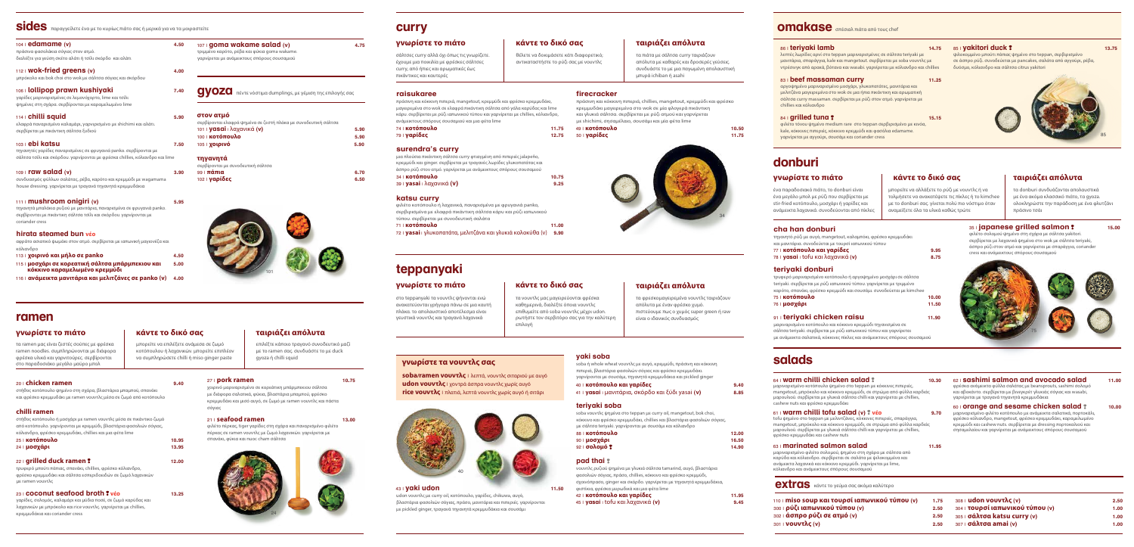



## **sides** παραγγείλετε ένα με το κυρίως πιάτο σας ή μερικά για να τα μοιραστείτε

| $104$ i edamame (v)<br>πράσινα φασολάκια σόγιας στον ατμό.<br>διαλέξτε για γεύση σκέτο αλάτι ή τσίλι σκόρδο και αλάτι                                                                              | 4.50 |
|----------------------------------------------------------------------------------------------------------------------------------------------------------------------------------------------------|------|
| $112$ Wok-fried greens (v)<br>μπρόκολο και bok choi στο wok με σάλτσα σόγιας και σκόρδου                                                                                                           | 4.00 |
| 106   <b>lollipop prawn kushiyaki</b><br>γαρίδες μαριναρισμένες σε λεμονόχορτο, lime και τσίλι<br>ψημένες στη σχάρα. σερβίρονται με καραμελωμένο lime                                              | 7.40 |
| 114   chilli squid<br>ελαφρά παναρισμένο καλαμάρι, γαρνιρισμένο με shichimi και αλάτι.<br>σερβίρεται με πικάντικη σάλτσα ξυδιού                                                                    | 5.90 |
| 103   <b>ebi katsu</b><br>τηγανητές γαρίδες παναρισμένες σε φρυγανιά panko. σερβίρονται με<br>σάλτσα τσίλι και σκόρδου. γαρνίρονται με φρέσκα chillies, κόλιανδρο και lime                         | 7.50 |
| $109$ <b>raw salad (v)</b><br>συνδυασμός φύλλων σαλάτας, ρέβα, καρότο και κρεμμύδι με wagamama<br>house dressing. γαρνίρεται με τραγανά τηγανητά κρεμμυδάκια                                       | 3.90 |
| 111   <b>mushroom onigiri</b> (v)<br>τηγανητά μπαλάκια ρυζιού με μανιτάρια, παναρισμένα σε φρυγανιά panko.<br>σερβίρονται με πικάντικη σάλτσα τσίλι και σκόρδου. γαρνίρονται με<br>coriander cress | 5.95 |
| hirata steamed bun véo<br>αφράτο ασιατικό ψωμάκι στον ατμό. σερβίρεται με ιαπωνική μαγιονέζα και                                                                                                   |      |
| κόλιανδρο<br>113   χοιρινό και μήλο σε panko                                                                                                                                                       | 4.50 |
| 115   μοσνάρι σε κορεατική σάλτσα μπάρμπεκιου και                                                                                                                                                  | 5.00 |

115 | **μοσχάρι σε κορεατική σάλτσα μπάρμπεκιου και 5.00 κόκκινο καραμελωμένο κρεμμύδι**



#### **στον ατμό**

| σερβίρονται ελαφρά ψημένα σε ζεστή πλάκα με συνοδευτική σάλτσα |      |
|----------------------------------------------------------------|------|
| 101   yasai   λαχανικά (v)                                     | 5.90 |
| 100   <b>ΚΟΤΌΠΟυλΟ</b>                                         | 5.90 |
| 105   <b>χοιρινό</b>                                           | 5.90 |
| τηγανητά                                                       |      |
| σερβίρονται με συνοδευτική σάλτσα                              |      |
| $99$   πάπια                                                   | 6.70 |

102 | **γαρίδες 6.50**



**gyoza** πέντε νόστιμα dumplings, με γέμιση της επιλογής σας

## **curry**

#### **raisukaree**

πράσινη και κόκκινη πιπεριά, mangetout, κρεμμύδι και φρέσκο κρεμμυδάκι, μαγειρεμένα στο wok σε ελαφρά πικάντικη σάλτσα από γάλα καρύδας και lime κάρυ. σερβίρεται με ρύζι ιαπωνικού τύπου και γαρνίρεται με chillies, κόλιανδρο, ανάμεικτους σπόρους σουσαμιού και μια φέτα lime 74 | **κοτόπουλο 11.75** 79 | **γαρίδες 12.75**

#### **surendra's curry**

μια πλούσια πικάντικη σάλτσα curry φτιαγμένη από πιπεριές jalapeño, κρεμμύδι και ginger. σερβίρεται με τραγανές λωρίδες γλυκοπατάτας και άσπρο ρύζι στον ατμό. γαρνίρεται με ανάμεικτους σπόρους σουσαμιού

34 | **κοτόπουλο 10.75** 39 | **yasai** | λαχανικά **(v) 9.25**

#### **katsu curry**

φιλέτο κοτόπουλο ή λαχανικά, παναρισμένα με φρυγανιά panko, σερβιρισμένα με ελαφρά πικάντικη σάλτσα κάρυ και ρύζι ιαπωνικού

#### τύπου. σερβίρεται με συνοδευτική σαλάτα 71 | **κοτόπουλο 11.00**

72 | **yasai** | γλυκοπατάτα, μελιτζάνα και γλυκιά κολοκύθα (v) **9.90** 

**firecracker** 

πράσινη και κόκκινη πιπεριά, chillies, mangetout, κρεμμύδι και φρέσκο κρεμμυδάκι μαγειρεμένα στο wok σε μία φλογερά πικάντικη και γλυκιά σάλτσα. σερβίρεται με ρύζι ατμού και γαρνίρεται με shichimi, σησαμέλαιο, σουσάμι και μία φέτα lime 49 | **κοτόπουλο 10.50**

50 | **γαρίδες 11.75**

θέλετε να δοκιμάσετε κάτι διαφορετικό; αντικαταστήστε το ρύζι σας με νουντλς



τα πιάτα με σάλτσα curry ταιριάζουν απόλυτα με καθαρές και δροσερές γεύσεις. συνδυάστε το με μια παγωμένη απολαυστική μπυρά ichiban ή asahi

### **γνωρίστε το πιάτο κάντε το δικό σας ταιριάζει απόλυτα**

σάλτσες curry αλλά όχι όπως τις γνωρίζετε. έχουμε μια ποικιλία με φρέσκες σάλτσες curry, από ήπιες και αρωματικές έως πικάντικες και καυτερές

## **teppanyaki**

τα νουντλς μας μαγειρεύονται φρέσκα καθημερινά, διαλέξτε όποια νουντλς επιθυμείτε από soba νουντλς μέχρι udon. ρωτήστε τον σερβιτόρο σας για την καλύτερη επιλογή

τα φρεσκομαγειρεμένα νουντλς ταιριάζουν απόλυτα με έναν φρέσκο χυμό. πιστεύουμε πως ο χυμός super green ή raw είναι ο ιδανικός συνδυασμός

> 60 | **orange and sesame chicken salad ?** 10.00 μαριναρισμένο φιλέτο κοτόπουλο με ανάμεικτα σαλατικά, πορτοκάλι, φρέσκο κόλιανδρο, mangetout, φρέσκο κρεμμυδάκι, καραμελωμένο κρεμμύδι και cashew nuts. σερβίρεται με dressing πορτοκαλιού και σησαμελαίου και γαρνίρεται με ανάμεικτους σπόρους σουσαμιού

### **γνωρίστε το πιάτο κάντε το δικό σας ταιριάζει απόλυτα**

στο teppanyaki τα νουντλς ψήνονται ενώ ανακατεύονται γρήγορα πάνω σε μια καυτή πλάκα. το απολαυστικό αποτέλεσμα είναι γευστικά νουντλς και τραγανά λαχανικά

### 43 | **yaki udon 11.50**

udon νουντλς με curry oil, κοτόπουλο, γαρίδες, chikuwa, αυγό, βλαστάρια φασολιών σόγιας, πράσο, μανιτάρια και πιπεριές. γαρνίρονται με pickled ginger, τραγανά τηγανητά κρεμμυδάκια και σουσάμι

### **yaki soba**

soba ή whole wheat νουντλς με αυγό, κρεμμύδι, πράσινη και κόκκινη πιπεριά, βλαστάρια φασολιών σόγιας και φρέσκο κρεμμυδάκι. γαρνίρονται με σουσάμι, τηγανητά κρεμμυδάκια και pickled ginger 40 | **κοτόπουλο και γαρίδες 9.40** 41 | **yasai** | μανιτάρια, σκόρδο και ξύδι yasai **(v) 8.85**

### **teriyaki soba**

soba νουντλς ψημένα στο teppan με curry oil, mangetout, bok choi, κόκκινο και φρέσκο κρεμμυδάκι, chillies και βλαστάρια φασολιών σόγιας, με σάλτσα teriyaki. γαρνίρονται με σουσάμι και κόλιανδρο

88 | **κοτόπουλο 12.00**

- 
- 

| 88   <b>κοτόπουλο</b> | 12.00 |
|-----------------------|-------|
| 90 ⊟ <b>μοσχάρι</b>   | 16.50 |
| 92   <b>σολομό ?</b>  | 14.90 |

### **pad thai**

φιστίκια, φρέσκα μυρωδικά κ



νουντλς ρυζιού ψημένα με γλυκιά σάλτσα tamarind, αυγό, βλαστάρια φασολιών σόγιας, πράσο, chillies, κόκκινο και φρέσκο κρεμμύδι, σχοινόπρασο, ginger και σκόρδο. γαρνίρεται με τηγανητά κρεμμυδάκια,

| 42   <b>κοτόπουλο και γαρίδες</b>                                                                                                                                                                                              | 11.95 |
|--------------------------------------------------------------------------------------------------------------------------------------------------------------------------------------------------------------------------------|-------|
| φιστίκια, φρέσκα μυρωδικά και μια φέτα lime                                                                                                                                                                                    |       |
| of an interest distribution of the side of the side of the side of the side of the side of the side of the side of the side of the side of the side of the side of the side of the side of the side of the side of the side of |       |

| $42 + 1$ Notion over the value of                  | 11.JJ |
|----------------------------------------------------|-------|
| 45   <b>yasai</b>   tofu και λαχανικά ( <b>v</b> ) | 9.45  |
|                                                    |       |

### **γνωρίστε τα νουντλς σας**

**soba/ramen νουντλς** | λεπτά, νουντλς σιταριού με αυγό **udon νουντλς** | χοντρά άσπρα νουντλς χωρίς αυγό **rice νουντλς** | πλατιά, λεπτά νουντλς χωρίς αυγό ή σιτάρι



### 86 | **teriyaki lamb 14.75**

λεπτές λωρίδες αρνί στο teppan μαριναρισμένες σε σάλτσα teriyaki με μανιτάρια, σπαράγγια, kale και mangetout. σερβίρεται με soba νουντλς με ντρέσινγκ από αρακά, βότανα και wasabi. γαρνίρεται με κόλιανδρο και chillies

#### **83 | beef massaman curry 11.25**

αργοψημένο μαριναρισμένο μοσχάρι, γλυκοπατάτες, μανιτάρια και μελιτζάνα μαγειρεμένα στο wok σε μια ήπια πικάντικη και αρωματική σάλτσα curry massaman. σερβίρεται με ρύζι στον ατμό. γαρνίρεται με chillies και κόλιανδρο

#### **84 | grilled tuna ? 15.15**

φιλέτο τόνου ψημένο medium rare στο teppan σερβιρισμένο με κινόα, kale, κόκκινες πιπεριές, κόκκινο κρεμμύδι και φασόλια edamame. γαρνίρεται με αγγούρι, σουσάμι και coriander cress

## **omakase** σπέσιαλ πιάτα από τους chef

## **salads**

#### 64 | **warm chilli chicken salad 10.30** μαριναρισμένο κοτόπουλο ψημένο στο teppan με κόκκινες πιπεριές,

mangetout, μπρόκολο και κόκκινο κρεμμύδι, σε στρώμα από φύλλα καρδιάς μαρουλιού. σερβίρεται με γλυκιά σάλτσα chilli και γαρνίρεται με chillies, cashew nuts και φρέσκο κρεμμυδάκι

#### 61 | **warm chilli tofu salad (v) νέο 9.70**

tofu ψημένο στο teppan με μελιντζάνες, κόκκινες πιπεριές, σπαράγγια, mangetout, μπρόκολο και κόκκινο κρεμμύδι, σε στρώμα από φύλλα καρδιάς μαρουλιού. σερβίρεται με γλυκιά σάλτσα chilli και γαρνίρεται με chillies, φρέσκο κρεμμυδάκι και cashew nuts

#### 63 | **marinated salmon salad 11.95**

μαριναρισμένο φιλέτο σολομού, ψημένο στη σχάρα με σάλτσα από καρύδα και κόλιανδρο. σερβίρεται σε σαλάτα με ψιλοκομμένα και ανάμεικτα λαχανικά και κόκκινο κρεμμύδι. γαρνίρεται με lime, κόλιανδρο και ανάμεικτους σπόρους σουσαμιού

#### 62 | **sashimi salmon and avocado salad 11.00** φρέσκα ανάμεικτα φύλλα σαλάτας με beansprouts, sashimi σολομό

και αβοκάντο. σερβίρεται με βινεγκρέτ γλυκιάς σόγιας και wasabi, γαρνίρεται με τραγανά τηγανητά κρεμμυδάκια

#### 85 | **yakitori duck 13.75**

ψιλοκομμένο μπούτι πάπιας ψημένο στο teppan, σερβιρισμένο σε άσπρο ρύζι. συνοδεύεται με pancakes, σαλάτα από αγγούρι, ρέβα, δυόσμο, κόλιανδρο και σάλτσα citrus yakitori



### 20 | **chicken ramen 9.40**

στήθος κοτόπουλο ψημένο στη σχάρα, βλαστάρια μπαμπού, σπανάκι και φρέσκο κρεμμυδάκι με ramen νουντλς μέσα σε ζωμό από κοτόπουλο

### **chilli ramen**

στήθος κοτόπουλο ή μοσχάρι με ramen νουντλς μέσα σε πικάντικο ζωμό από κοτόπουλο. γαρνίρονται με κρεμμύδι, βλαστάρια φασολιών σόγιας, κόλιανδρο, φρέσκο κρεμμυδάκι, chillies και μια φέτα lime 25 | **κοτόπουλο 10.95**

| 23 NU LUNUUNU<br>24   <b>μοσχάρι</b> | נפטו  |
|--------------------------------------|-------|
|                                      | 13.95 |

### 22 | **grilled duck ramen 12.00**

τρυφερό μπούτι πάπιας, σπανάκι, chillies, φρέσκο κόλιανδρο, φρέσκο κρεμμυδάκι και σάλτσα εσπεριδοειδών σε ζωμό λαχανικών με ramen νουντλς

23 | **coconut seafood broth νέο 13.25**

γαρίδες, σολομός, καλαμάρι και μύδια ποσέ, σε ζωμό καρύδας και λαχανικών με μπρόκολο και rice νουντλς. γαρνίρεται με chillies, κρεμμυδάκια και coriander cress

# **ramen**

μπορείτε να επιλέξετε ανάμεσα σε ζωμό κοτόπουλου ή λαχανικών. μπορείτε επιπλέον να συμπληρώσετε chilli ή miso ginger paste

επιλέξτε κάποιο τραγανό συνοδευτικό μαζί με το ramen σας. συνδυάστε το με duck

gyoza ή chilli squid

### **γνωρίστε το πιάτο κάντε το δικό σας ταιριάζει απόλυτα**

τα ramen μας είναι ζεστές σούπες με φρέσκα ramen noodles. συμπληρώνονται με διάφορα φρέσκα υλικά και γαρνιτούρες. σερβίρονται στο παραδοσιάκο μεγάλο μαύρο μπολ

### 27 | **pork ramen 10.75**

#### χοιρινό μαριναρισμένο σε κορεάτικη μπάρμπεκιου σάλτσα με διάφορα σαλατικά, φύκια, βλαστάρια μπαμπού, φρέσκο κρεμμυδάκι και μισό αυγό, σε ζωμό με ramen νουντλς και πάστα σόγιας

#### 21 | **seafood ramen 13.00**

φιλέτο πέρκας, tiger γαρίδες στη σχάρα και παναρισμένο φιλέτο πέρκας σε ramen νουντλς με ζωμό λαχανικών. γαρνίρεται με σπανάκι, φύκια και nuoc cham σάλτσα



## **donburi**

μπορείτε να αλλάξετε το ρύζι με νουντλς ή να τολμήσετε να ανακατέψετε τις πίκλες ή το kimchee με το donburi σας. γίνεται πολύ πιο νόστιμο όταν αναμείξετε όλα τα υλικά καθώς τρώτε

τα donburi συνδυάζονται απολαυστικά με ένα ακόμα κλασσικό πιάτο, τα gyoza. ολοκληρώστε την παράδοση με ένα φλυτζάνι πράσινο τσάι

#### **35 | japanese grilled salmon ?** 15.00

### **γνωρίστε το πιάτο κάντε το δικό σας ταιριάζει απόλυτα**

ένα παραδοσιακό πιάτο, το donburi είναι ένα μεγάλο μπολ με ρύζι που σερβίρεται με stir-fried κοτόπουλο, μοσχάρι ή γαρίδες και ανάμεικτα λαχανικά. συνοδεύονται από πίκλες

#### **cha han donburi**

τηγανητό ρύζι με αυγό, mangetout, καλαμπόκι, φρέσκο κρεμμυδάκι και μανιτάρια. συνοδεύεται με τουρσί ιαπωνικού τύπου 77 | **κοτόπουλο και γαρίδες 9.95** 78 | **yasai** | tofu και λαχανικά **(v) 8.75**

#### **teriyaki donburi**

τρυφερό μαριναρισμένο κοτόπουλο ή αργοψημένο μοσχάρι σε σάλτσα teriyaki. σερβίρεται με ρύζι ιαπωνικού τύπου. γαρνίρεται με τριμμένο καρότο, σπανάκι, φρέσκο κρεμμύδι και σουσάμι. συνοδεύεται με kimchee

| 75 Ι <b>κοτόπουλο</b>     | 10.00 |
|---------------------------|-------|
| 76 Ι <b>μοσχάρι</b>       | 11.50 |
| 91 teriyaki chicken raisu | 11.90 |

μαριναρισμένο κοτόπουλο και κόκκινο κρεμμύδι τηγανισμένα σε σάλτσα teriyaki. σερβίρεται με ρύζι ιαπωνικού τύπου και γαρνίρεται

με ανάμεικτα σαλατικά, κόκκινες πίκλες και ανάμεικτους σπόρους σουσαμιού

φιλέτο σολομού ψημένο στη σχάρα με σάλτσα yakitori. σερβίρεται με λαχανικά ψημένα στο wok με σάλτσα teriyaki, άσπρο ρύζι στον ατμό και γαρνίρεται με σπαράγγια, coriander cress και ανάμεικτους σπόρους σουσαμιού



**extras** κάντε το γεύμα σας ακόμα καλύτερο

110 | **miso soup και τουρσί ιαπωνικού τύπου (v) 1.75** 300 | **ρύζι ιαπωνικού τύπου (v) 2.50** 302 | **άσπρο ρύζι σε ατμό (v) 2.50** 301 | **νουντλς (v) 2.50** 308 | **udon νουντλς (v) 2.50** 304 | **τουρσί ιαπωνικού τύπου (v) 1.00** 305 | **σάλτσα katsu curry (v) 1.00** 307 | **σάλτσα amai (v) 1.00**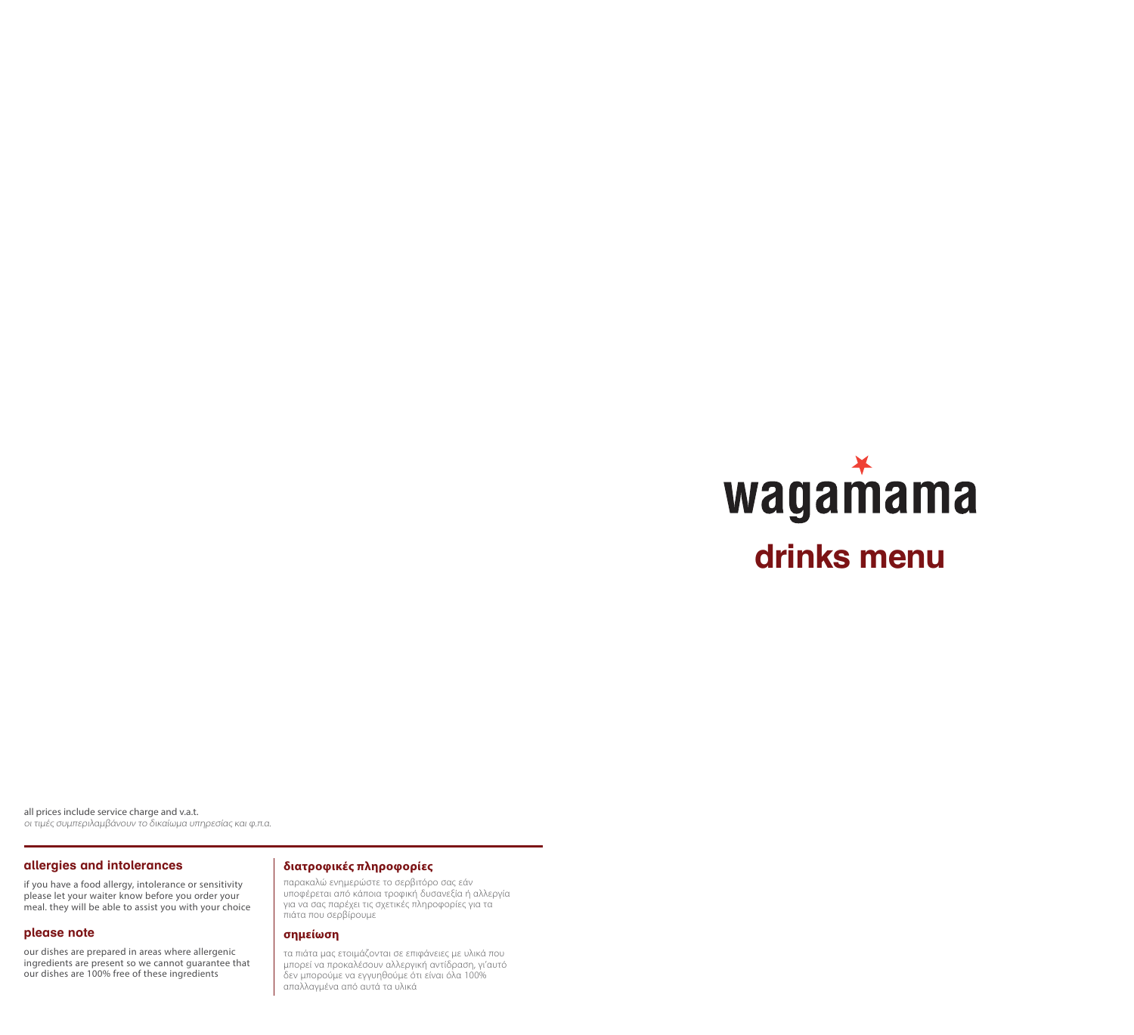

οι τιμές συμπεριλαμβάνουν το δικαίωμα υπηρεσίας και φ.π.α. all prices include service charge and v.a.t.

#### **allergies and intolerances**

if you have a food allergy, intolerance or sensitivity please let your waiter know before you order your meal. they will be able to assist you with your choice

#### **please note**

our dishes are prepared in areas where allergenic ingredients are present so we cannot guarantee that our dishes are 100% free of these ingredients

#### **διατροφικές πληροφορίες**

παρακαλώ ενημερώστε το σερβιτόρο σας εάν υποφέρεται από κάποια τροφική δυσανεξία ή αλλεργία για να σας παρέχει τις σχετικές πληροφορίες για τα πιάτα που σερβίρουμε

#### **σημείωση**

τα πιάτα μας ετοιμάζονται σε επιφάνειες με υλικά που μπορεί να προκαλέσουν αλλεργική αντίδραση, γι'αυτό δεν μπορούμε να εγγυηθούμε ότι είναι όλα 100% απαλλαγμένα από αυτά τα υλικά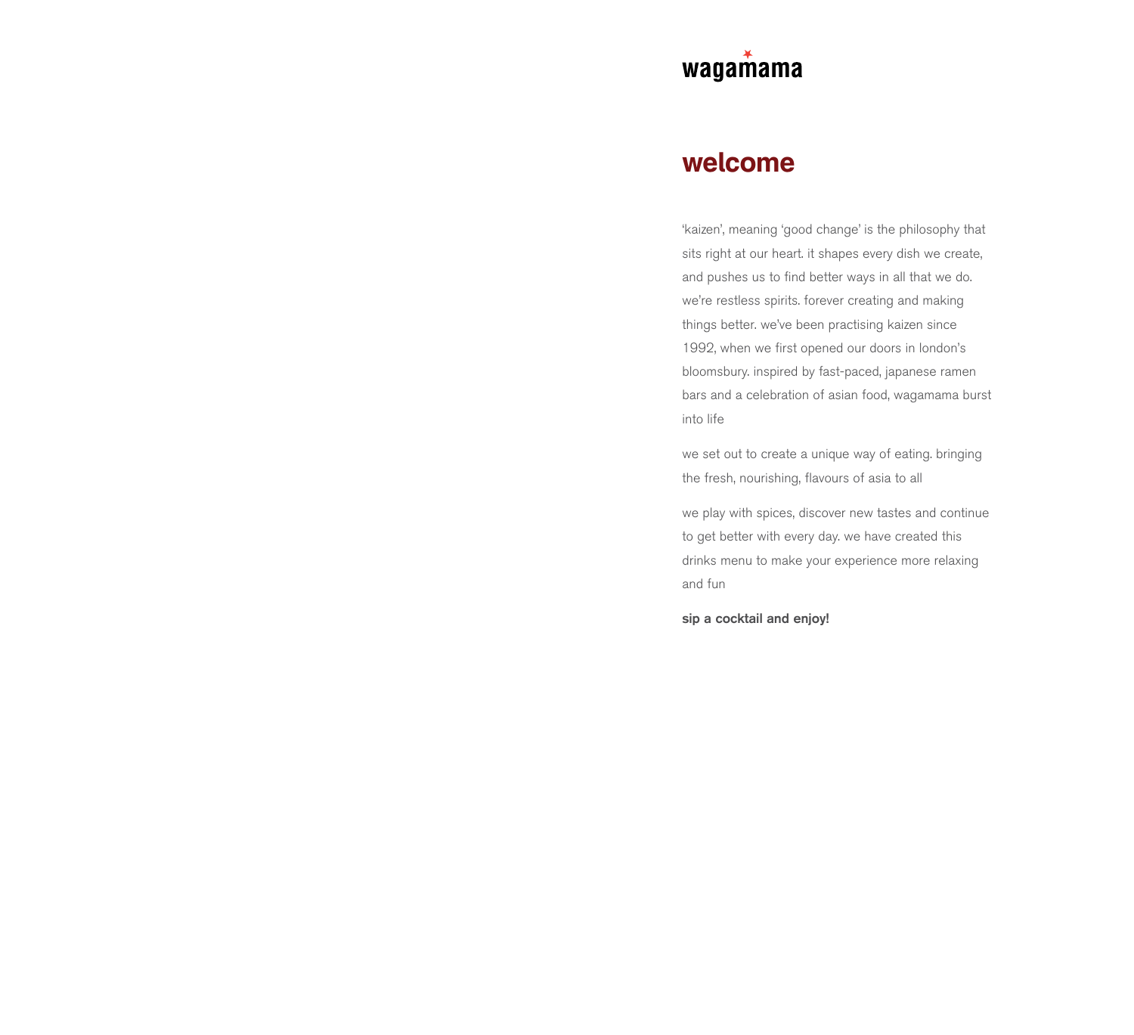

## **welcome**

'kaizen', meaning 'good change' is the philosophy that sits right at our heart. it shapes every dish we create, and pushes us to find better ways in all that we do. we're restless spirits. forever creating and making things better. we've been practising kaizen since 1992, when we first opened our doors in london's bloomsbury. inspired by fast-paced, japanese ramen bars and a celebration of asian food, wagamama burst into life

we set out to create a unique way of eating. bringing the fresh, nourishing, flavours of asia to all

we play with spices, discover new tastes and continue to get better with every day. we have created this drinks menu to make your experience more relaxing and fun

**sip a cocktail and enjoy!**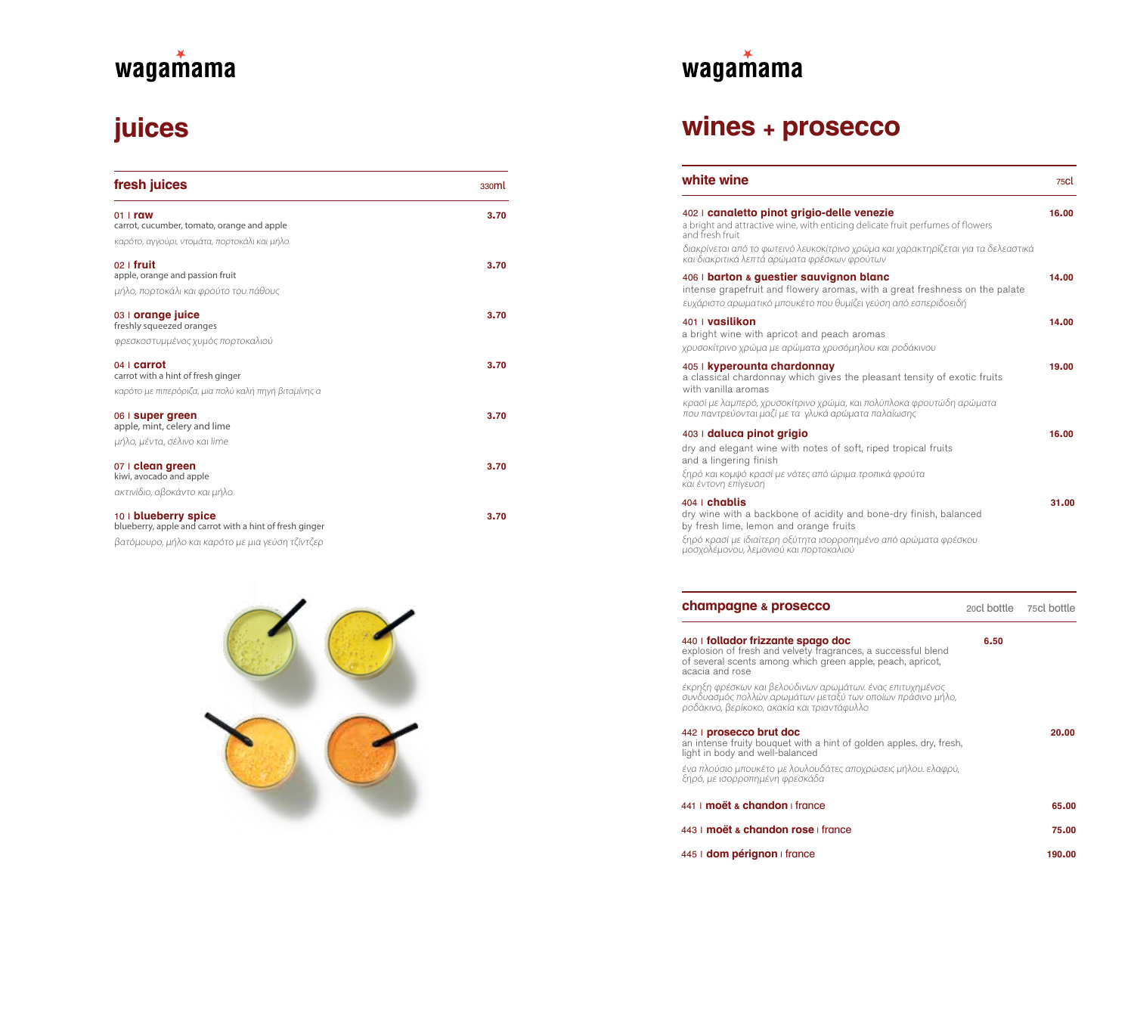# **juices**

| fresh juices                                                                    | 330 <sub>ml</sub> |
|---------------------------------------------------------------------------------|-------------------|
| $01$   raw                                                                      | 3.70              |
| carrot, cucumber, tomato, orange and apple                                      |                   |
| καρότο, αγγούρι, ντομάτα, πορτοκάλι και μήλο                                    |                   |
| $02$   fruit<br>apple, orange and passion fruit                                 | 3.70              |
| μήλο, πορτοκάλι και φρούτο του πάθους                                           |                   |
| 03   orange juice<br>freshly squeezed oranges                                   | 3.70              |
| φρεσκοστυμμένος χυμός πορτοκαλιού                                               |                   |
| $04$   carrot<br>carrot with a hint of fresh ginger                             | 3.70              |
| καρότο με πιπερόριζα, μια πολύ καλή πηγή βιταμίνης α                            |                   |
| 06   super green<br>apple, mint, celery and lime                                | 3.70              |
| μήλο, μέντα, σέλινο και lime                                                    |                   |
| 07   clean green<br>kiwi, avocado and apple                                     | 3.70              |
| ακτινίδιο, αβοκάντο και μήλο                                                    |                   |
| 10   blueberry spice<br>blueberry, apple and carrot with a hint of fresh ginger | 3.70              |



βατόμουρο, μήλο και καρότο με μια γεύση τζίντζερ

# wagamama

## **wines + prosecco**

| white wine                                                                                                                                                                                                                                                    |             | 75Cl        |
|---------------------------------------------------------------------------------------------------------------------------------------------------------------------------------------------------------------------------------------------------------------|-------------|-------------|
| 402   canaletto pinot grigio-delle venezie<br>a bright and attractive wine, with enticing delicate fruit perfumes of flowers<br>and fresh fruit                                                                                                               |             | 16.00       |
| διακρίνεται από το φωτεινό λευκοκίτρινο χρώμα και χαρακτηρίζεται για τα δελεαστικά<br>και διακριτικά λεπτά αρώματα φρέσκων φρούτων                                                                                                                            |             |             |
| 406   barton & guestier sauvignon blanc<br>intense grapefruit and flowery aromas, with a great freshness on the palate<br>ευχάριστο αρωματικό μπουκέτο που θυμίζει γεύση από εσπεριδοειδή                                                                     |             | 14.00       |
| 401   vasilikon<br>a bright wine with apricot and peach aromas<br>χρυσοκίτρινο χρώμα με αρώματα χρυσόμηλου και ροδάκινου                                                                                                                                      |             | 14.00       |
| 405   kyperounta chardonnay<br>a classical chardonnay which gives the pleasant tensity of exotic fruits<br>with vanilla aromas<br>κρασί με λαμπερό, χρυσοκίτρινο χρώμα, και πολύπλοκα φρουτώδη αρώματα<br>που παντρεύονται μαζί με τα γλυκά αρώματα παλαίωσης |             | 19.00       |
| 403   daluca pinot grigio<br>dry and elegant wine with notes of soft, riped tropical fruits<br>and a lingering finish<br>ξηρό και κομψό κρασί με νότες από ώριμα τροπικά φρούτα<br>και έντονη επίγευση                                                        |             | 16.00       |
| $404$ chablis<br>dry wine with a backbone of acidity and bone-dry finish, balanced<br>by fresh lime, lemon and orange fruits<br>ξηρό κρασί με ιδιαίτερη οξύτητα ισορροπημένο από αρώματα φρέσκου<br>μοσχολέμονου, λεμονιού και πορτοκαλιού                    |             | 31.00       |
| champagne & prosecco                                                                                                                                                                                                                                          | 20cl bottle | 75cl bottle |
| 440   follador frizzante spago doc<br>explosion of fresh and velvety fragrances, a successful blend<br>of several scents among which green apple, peach, apricot,<br>acacia and rose                                                                          | 6.50        |             |
| έκρηξη φρέσκων και βελούδινων αρωμάτων. ένας επιτυχημένος<br>συνδυασμός πολλών αρωμάτων μεταξύ των οποίων πράσινο μήλο,<br>ροδάκινο, βερίκοκο, ακακία και τριαντάφυλλο                                                                                        |             |             |

| 442   prosecco brut doc<br>an intense fruity bouquet with a hint of golden apples, dry, fresh,<br>light in body and well-balanced | 20.00 |
|-----------------------------------------------------------------------------------------------------------------------------------|-------|
| ένα πλούσιο μπουκέτο με λουλουδάτες αποχρώσεις μήλου. ελαφρύ,<br>ξηρό, με ισορροπημένη φρεσκάδα                                   |       |
| 441   moët & chandon   france                                                                                                     | 65,00 |
| 443   <b>moët &amp; chandon rose</b>   france                                                                                     | 75.00 |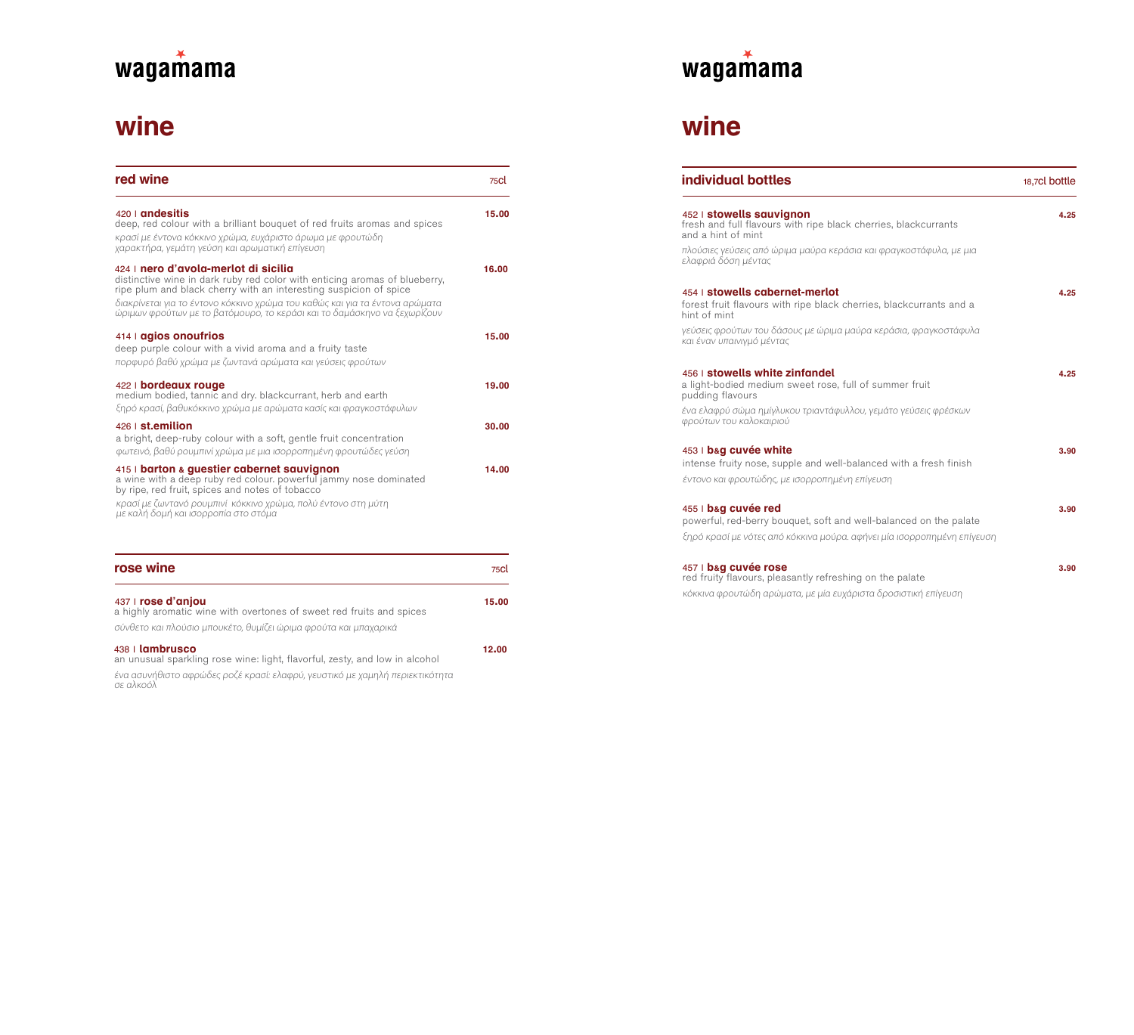# **wine**

| red wine                                                                                                                                                                                                                                                                                                                                           | 75CL  |
|----------------------------------------------------------------------------------------------------------------------------------------------------------------------------------------------------------------------------------------------------------------------------------------------------------------------------------------------------|-------|
| 420   andesitis<br>deep, red colour with a brilliant bouguet of red fruits aromas and spices<br>κρασί με έντονα κόκκινο χρώμα, ευχάριστο άρωμα με φρουτώδη<br>χαρακτήρα, γεμάτη γεύση και αρωματική επίγευση                                                                                                                                       | 15.00 |
| 424   nero d'avola-merlot di sicilia<br>distinctive wine in dark ruby red color with enticing aromas of blueberry,<br>ripe plum and black cherry with an interesting suspicion of spice<br>διακρίνεται για το έντονο κόκκινο χρώμα του καθώς και για τα έντονα αρώματα<br>ώριμων φρούτων με το βατόμουρο, το κεράσι και το δαμάσκηνο να ξεχωρίζουν | 16.00 |
| 414   agios onoufrios<br>deep purple colour with a vivid aroma and a fruity taste<br>πορφυρό βαθύ χρώμα με ζωντανά αρώματα και γεύσεις φρούτων                                                                                                                                                                                                     | 15.00 |
| 422   bordeaux rouge<br>medium bodied, tannic and dry. blackcurrant, herb and earth<br>ξηρό κρασί, βαθυκόκκινο χρώμα με αρώματα κασίς και φραγκοστάφυλων                                                                                                                                                                                           | 19.00 |
| 426   st.emilion<br>a bright, deep-ruby colour with a soft, gentle fruit concentration<br>φωτεινό, βαθύ ρουμπινί χρώμα με μια ισορροπημένη φρουτώδες γεύση                                                                                                                                                                                         | 30.00 |
| 415   barton & questier cabernet sauvignon<br>a wine with a deep ruby red colour. powerful jammy nose dominated<br>by ripe, red fruit, spices and notes of tobacco<br>κρασί με ζωντανό ρουμπινί κόκκινο χρώμα, πολύ έντονο στη μύτη<br>με καλή δομή και ισορροπία στο στόμα                                                                        | 14.00 |
| oo wino                                                                                                                                                                                                                                                                                                                                            |       |

| rose wine                                                                                                                                                      | 75Cl  |
|----------------------------------------------------------------------------------------------------------------------------------------------------------------|-------|
| 437   rose d'anjou<br>a highly aromatic wine with overtones of sweet red fruits and spices<br>σύνθετο και πλούσιο μπουκέτο, θυμίζει ώριμα φρούτα και μπαχαρικά | 15.00 |
| $438$   lambrusco<br>an unusual sparkling rose wine; light flavorful zesty and low in alcohol                                                                  | 12.00 |

an unusual sparkling rose wine: light, flavorful, zesty, and low in alcohol ένα ασυνήθιστο αφρώδες ροζέ κρασί: ελαφρύ, γευστικό με χαμηλή περιεκτικότητα σε αλκοόλ



## **wine**

| individual bottles                                                                                                                           | 18,7cl bottle |
|----------------------------------------------------------------------------------------------------------------------------------------------|---------------|
| 452   stowells sauvignon<br>fresh and full flavours with ripe black cherries, blackcurrants<br>and a hint of mint                            | 4.25          |
| πλούσιες γεύσεις από ώριμα μαύρα κεράσια και φραγκοστάφυλα, με μια<br>ελαφριά δόση μέντας                                                    |               |
| 454   stowells cabernet-merlot<br>forest fruit flavours with ripe black cherries, blackcurrants and a<br>hint of mint                        | 4.25          |
| γεύσεις φρούτων του δάσους με ώριμα μαύρα κεράσια, φραγκοστάφυλα<br>και έναν υπαινιγμό μέντας                                                |               |
| 456   stowells white zinfandel<br>a light-bodied medium sweet rose, full of summer fruit<br>pudding flavours                                 | 4.25          |
| ένα ελαφρύ σώμα ημίγλυκου τριαντάφυλλου, γεμάτο γεύσεις φρέσκων<br>φρούτων του καλοκαιριού                                                   |               |
| 453   bag cuvée white<br>intense fruity nose, supple and well-balanced with a fresh finish                                                   | 3.90          |
| έντονο και φρουτώδης, με ισορροπημένη επίγευση                                                                                               |               |
| 455   bag cuvée red                                                                                                                          | 3.90          |
| powerful, red-berry bouquet, soft and well-balanced on the palate<br>ξηρό κρασί με νότες από κόκκινα μούρα. αφήνει μία ισορροπημένη επίγευση |               |
| 457   bag cuvée rose<br>red fruity flavours, pleasantly refreshing on the palate                                                             | 3.90          |
| κόκκινα φρουτώδη αρώματα, με μία ευχάριστα δροσιστική επίγευση                                                                               |               |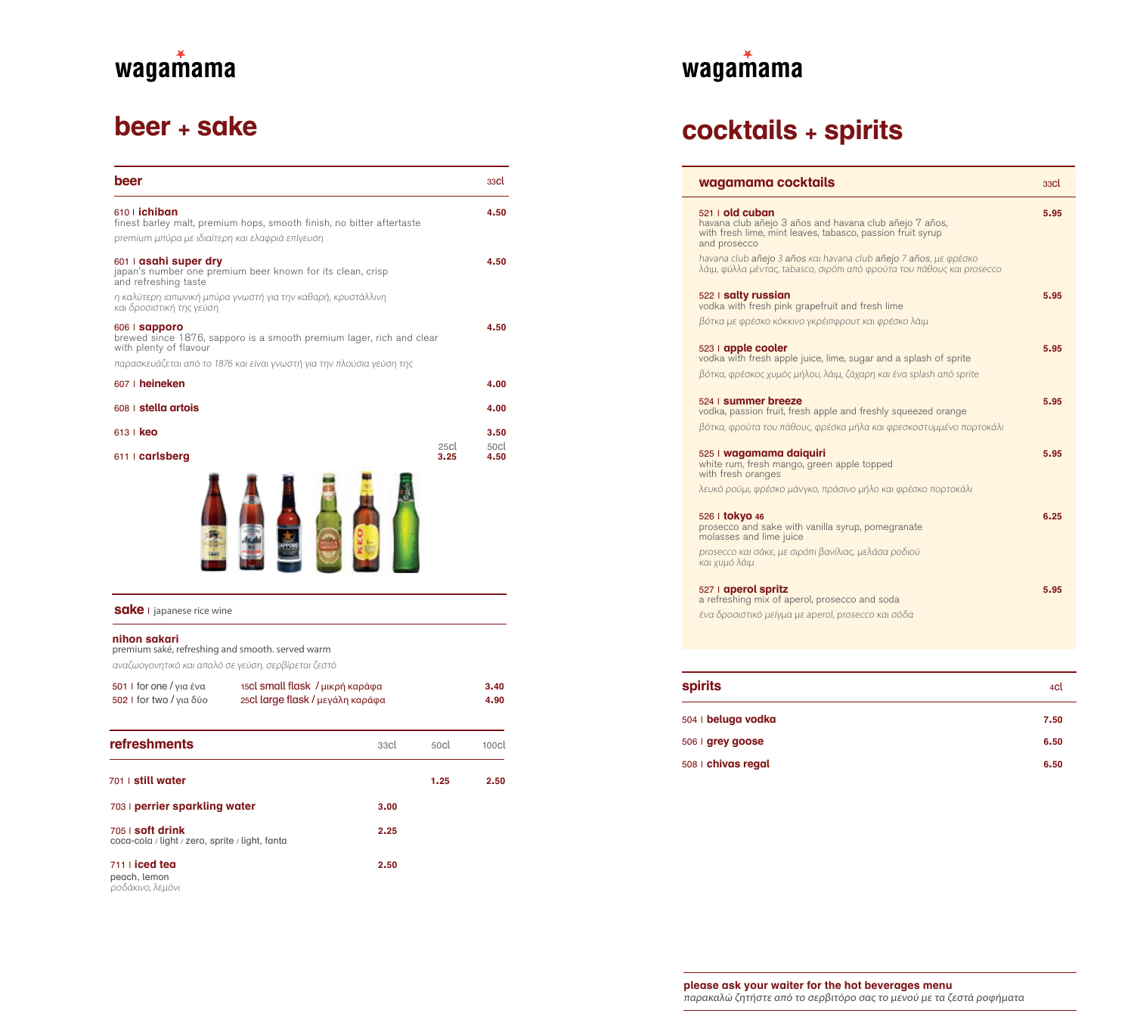## **beer + sake**

| beer                                                             |                                                                       |      |              | 33Cl              |
|------------------------------------------------------------------|-----------------------------------------------------------------------|------|--------------|-------------------|
| 610   ichiban                                                    | finest barley malt, premium hops, smooth finish, no bitter aftertaste |      |              | 4.50              |
| premium μπύρα με ιδιαίτερη και ελαφριά επίγευση                  |                                                                       |      |              |                   |
| 601   asahi super dry<br>and refreshing taste                    | japan's number one premium beer known for its clean, crisp            |      |              | 4.50              |
| και δροσιστική της γεύση                                         | η καλύτερη ιαπωνική μπύρα γνωστή για την καθαρή, κρυστάλλινη          |      |              |                   |
| 606   sapporo<br>with plenty of flavour                          | brewed since 1876, sapporo is a smooth premium lager, rich and clear  |      |              | 4.50              |
|                                                                  | παρασκευάζεται από το 1876 και είναι γνωστή για την πλούσια γεύση της |      |              |                   |
| 607   heineken                                                   |                                                                       |      |              | 4.00              |
| 608   stella artois                                              |                                                                       |      |              | 4.00              |
| 613   <b>keo</b>                                                 |                                                                       |      |              | 3.50              |
| $611$ carlsberg                                                  |                                                                       |      | 25cl<br>3.25 | 50cl<br>4.50      |
|                                                                  |                                                                       |      |              |                   |
| <b>Sake</b> I japanese rice wine                                 |                                                                       |      |              |                   |
| nihon sakari<br>premium saké, refreshing and smooth. served warm |                                                                       |      |              |                   |
| αναζωογονητικό και απαλό σε γεύση. σερβίρεται ζεστό              |                                                                       |      |              |                   |
| 501   for one / για ένα<br>502   for two / για δύο               | 15Cl small flask / μικρή καράφα<br>250l large flask / μεγάλη καράφα   |      |              | 3.40<br>4.90      |
| <b>refreshments</b>                                              |                                                                       | 33cl | 50cl         | 100 <sub>cl</sub> |

701 | **still water 1.25 2.50**

703 | **perrier sparkling water 3.00**

705 | **soft drink 2.25** coca-cola / light / zero, sprite / light, fanta

711 | **iced tea 2.50**

**peach, lemon**<br>ροδάκινο, λεμόνι



# **cocktails + spirits**

| wagamama cocktails                                                                                                                                                                                                                                                                                      | 33Cl |
|---------------------------------------------------------------------------------------------------------------------------------------------------------------------------------------------------------------------------------------------------------------------------------------------------------|------|
| $521$   old cuban<br>havana club añejo 3 años and havana club añejo 7 años,<br>with fresh lime, mint leaves, tabasco, passion fruit syrup<br>and prosecco<br>havana club añejo 3 años kai havana club añejo 7 años, με φρέσκο<br>λάιμ, φύλλα μέντας, tabasco, σιρόπι από φρούτα του πάθους και prosecco | 5.95 |
| 522   salty russian<br>vodka with fresh pink grapefruit and fresh lime<br>βότκα με φρέσκο κόκκινο γκρέιπφρουτ και φρέσκο λάιμ                                                                                                                                                                           | 5.95 |
| 523   apple cooler<br>vodka with fresh apple juice, lime, sugar and a splash of sprite<br>βότκα, φρέσκος χυμός μήλου, λάιμ, ζάχαρη και ένα splash από sprite                                                                                                                                            | 5.95 |
| 524 Summer breeze<br>vodka, passion fruit, fresh apple and freshly squeezed orange<br>βότκα, φρούτα του πάθους, φρέσκα μήλα και φρεσκοστυμμένο πορτοκάλι                                                                                                                                                | 5.95 |
| 525   wagamama daiquiri<br>white rum, fresh mango, green apple topped<br>with fresh oranges                                                                                                                                                                                                             | 5.95 |
| λευκό ρούμι, φρέσκο μάνγκο, πράσινο μήλο και φρέσκο πορτοκάλι                                                                                                                                                                                                                                           | 6.25 |
| 526   tokyo 46<br>prosecco and sake with vanilla syrup, pomegranate<br>molasses and lime juice                                                                                                                                                                                                          |      |
| prosecco και σάκε, με σιρόπι βανίλιας, μελάσα ροδιού<br>και χυμό λάιμ                                                                                                                                                                                                                                   |      |
| 527   aperol spritz<br>a refreshing mix of aperol, prosecco and soda<br>ένα δροσιστικό μείγμα με aperol, prosecco και σόδα                                                                                                                                                                              | 5.95 |
|                                                                                                                                                                                                                                                                                                         |      |
|                                                                                                                                                                                                                                                                                                         |      |

| <b>spirits</b>     | 4cl  |
|--------------------|------|
| 504   beluga vodka | 7.50 |
| 506   grey goose   | 6.50 |
| 508   chivas regal | 6.50 |

**please ask your waiter for the hot beverages menu** παρακαλώ ζητήστε από το σερβιτόρο σας το μενού με τα ζεστά ροφήματα